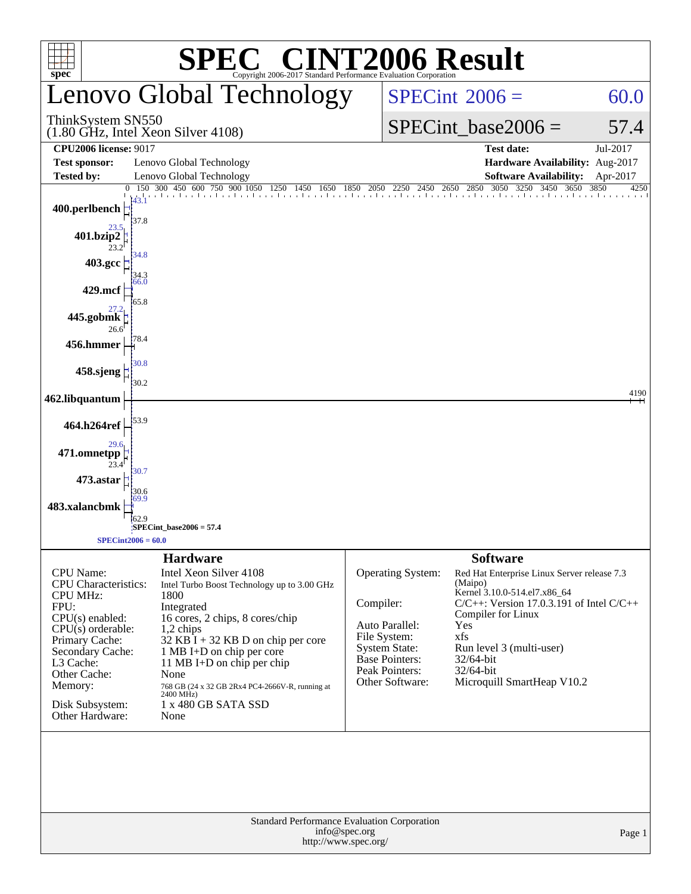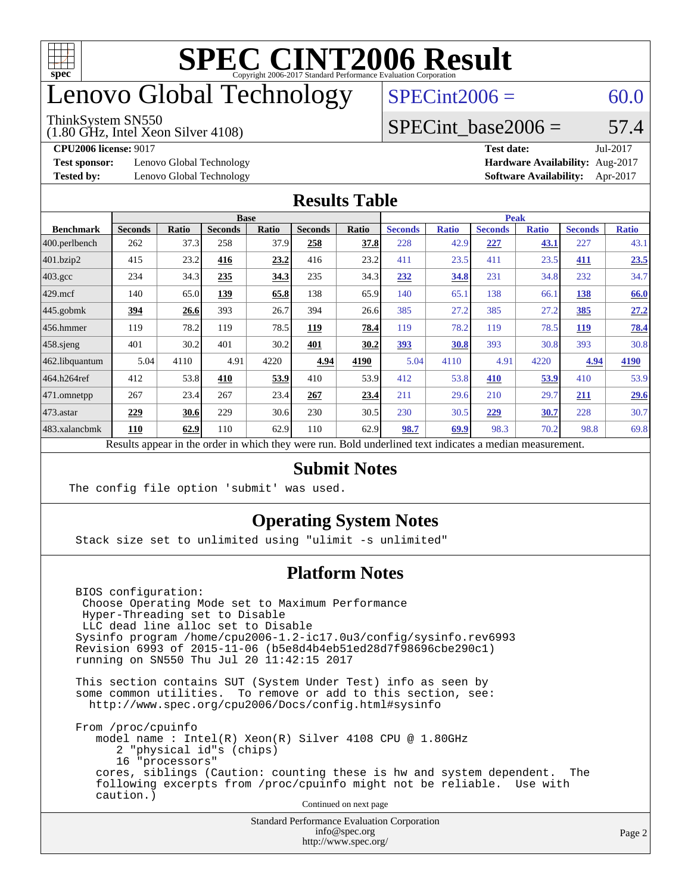

### enovo Global Technology

#### ThinkSystem SN550

(1.80 GHz, Intel Xeon Silver 4108)

 $SPECint2006 = 60.0$  $SPECint2006 = 60.0$ 

#### SPECint base2006 =  $57.4$

**[Test sponsor:](http://www.spec.org/auto/cpu2006/Docs/result-fields.html#Testsponsor)** Lenovo Global Technology **[Hardware Availability:](http://www.spec.org/auto/cpu2006/Docs/result-fields.html#HardwareAvailability)** Aug-2017

**[CPU2006 license:](http://www.spec.org/auto/cpu2006/Docs/result-fields.html#CPU2006license)** 9017 **[Test date:](http://www.spec.org/auto/cpu2006/Docs/result-fields.html#Testdate)** Jul-2017 **[Tested by:](http://www.spec.org/auto/cpu2006/Docs/result-fields.html#Testedby)** Lenovo Global Technology **[Software Availability:](http://www.spec.org/auto/cpu2006/Docs/result-fields.html#SoftwareAvailability)** Apr-2017

#### **[Results Table](http://www.spec.org/auto/cpu2006/Docs/result-fields.html#ResultsTable)**

|                         | <b>Base</b>    |       |                |       | <b>Peak</b>    |       |                |              |                |              |                |              |
|-------------------------|----------------|-------|----------------|-------|----------------|-------|----------------|--------------|----------------|--------------|----------------|--------------|
| <b>Benchmark</b>        | <b>Seconds</b> | Ratio | <b>Seconds</b> | Ratio | <b>Seconds</b> | Ratio | <b>Seconds</b> | <b>Ratio</b> | <b>Seconds</b> | <b>Ratio</b> | <b>Seconds</b> | <b>Ratio</b> |
| $ 400.\text{perlbench}$ | 262            | 37.3  | 258            | 37.9  | 258            | 37.8  | 228            | 42.9         | 227            | <u>43.1</u>  | 227            | 43.1         |
| $401$ .bzip2            | 415            | 23.2  | 416            | 23.2  | 416            | 23.2  | 411            | 23.5         | 411            | 23.5         | 411            | 23.5         |
| $403.\mathrm{gcc}$      | 234            | 34.3  | 235            | 34.3  | 235            | 34.3  | 232            | 34.8         | 231            | 34.8         | 232            | 34.7         |
| $429$ .mcf              | 140            | 65.0  | 139            | 65.8  | 138            | 65.9  | 140            | 65.1         | 138            | 66.1         | <u>138</u>     | 66.0         |
| $445$ .gobmk            | 394            | 26.6  | 393            | 26.7  | 394            | 26.6  | 385            | 27.2         | 385            | 27.2         | 385            | 27.2         |
| $456.$ hmmer            | 119            | 78.2  | 119            | 78.5  | 119            | 78.4  | 119            | 78.2         | 119            | 78.5         | <b>119</b>     | <u>78.4</u>  |
| $458$ .sjeng            | 401            | 30.2  | 401            | 30.2  | 401            | 30.2  | <u>393</u>     | 30.8         | 393            | 30.8         | 393            | 30.8         |
| 462.libquantum          | 5.04           | 4110  | 4.91           | 4220  | 4.94           | 4190  | 5.04           | 4110         | 4.91           | 4220         | 4.94           | 4190         |
| 464.h264ref             | 412            | 53.8  | 410            | 53.9  | 410            | 53.9  | 412            | 53.8         | 410            | 53.9         | 410            | 53.9         |
| 471.omnetpp             | 267            | 23.4  | 267            | 23.4  | 267            | 23.4  | 211            | 29.6         | 210            | 29.7         | 211            | 29.6         |
| 473.astar               | 229            | 30.6  | 229            | 30.6  | 230            | 30.5  | 230            | 30.5         | 229            | 30.7         | 228            | 30.7         |
| 483.xalancbmk           | 110            | 62.9  | 110            | 62.9  | 110            | 62.9  | 98.7           | 69.9         | 98.3           | 70.2         | 98.8           | 69.8         |

Results appear in the [order in which they were run.](http://www.spec.org/auto/cpu2006/Docs/result-fields.html#RunOrder) Bold underlined text [indicates a median measurement.](http://www.spec.org/auto/cpu2006/Docs/result-fields.html#Median)

#### **[Submit Notes](http://www.spec.org/auto/cpu2006/Docs/result-fields.html#SubmitNotes)**

The config file option 'submit' was used.

#### **[Operating System Notes](http://www.spec.org/auto/cpu2006/Docs/result-fields.html#OperatingSystemNotes)**

Stack size set to unlimited using "ulimit -s unlimited"

#### **[Platform Notes](http://www.spec.org/auto/cpu2006/Docs/result-fields.html#PlatformNotes)**

 BIOS configuration: Choose Operating Mode set to Maximum Performance Hyper-Threading set to Disable LLC dead line alloc set to Disable Sysinfo program /home/cpu2006-1.2-ic17.0u3/config/sysinfo.rev6993 Revision 6993 of 2015-11-06 (b5e8d4b4eb51ed28d7f98696cbe290c1) running on SN550 Thu Jul 20 11:42:15 2017

 This section contains SUT (System Under Test) info as seen by some common utilities. To remove or add to this section, see: <http://www.spec.org/cpu2006/Docs/config.html#sysinfo>

 From /proc/cpuinfo model name : Intel(R) Xeon(R) Silver 4108 CPU @ 1.80GHz 2 "physical id"s (chips) 16 "processors" cores, siblings (Caution: counting these is hw and system dependent. The following excerpts from /proc/cpuinfo might not be reliable. Use with caution.)

Continued on next page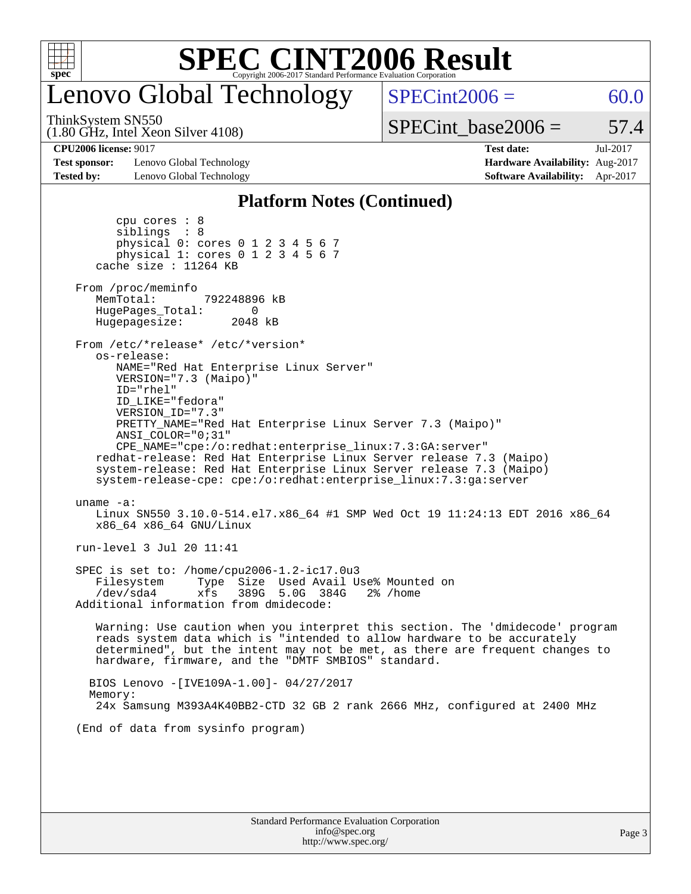

# enovo Global Technology

(1.80 GHz, Intel Xeon Silver 4108) ThinkSystem SN550

 $SPECint2006 = 60.0$  $SPECint2006 = 60.0$ 

 $SPECTnt\_base2006 = 57.4$ 

**[CPU2006 license:](http://www.spec.org/auto/cpu2006/Docs/result-fields.html#CPU2006license)** 9017 **[Test date:](http://www.spec.org/auto/cpu2006/Docs/result-fields.html#Testdate)** Jul-2017

**[Test sponsor:](http://www.spec.org/auto/cpu2006/Docs/result-fields.html#Testsponsor)** Lenovo Global Technology **[Hardware Availability:](http://www.spec.org/auto/cpu2006/Docs/result-fields.html#HardwareAvailability)** Aug-2017 **[Tested by:](http://www.spec.org/auto/cpu2006/Docs/result-fields.html#Testedby)** Lenovo Global Technology **[Software Availability:](http://www.spec.org/auto/cpu2006/Docs/result-fields.html#SoftwareAvailability)** Apr-2017

#### **[Platform Notes \(Continued\)](http://www.spec.org/auto/cpu2006/Docs/result-fields.html#PlatformNotes)**

| cpu cores $: 8$<br>siblings : 8<br>physical 0: cores 0 1 2 3 4 5 6 7<br>physical 1: cores 0 1 2 3 4 5 6 7<br>cache size : $11264$ KB                                                                                                                                                                                                                                                                                                                                                                                                       |
|--------------------------------------------------------------------------------------------------------------------------------------------------------------------------------------------------------------------------------------------------------------------------------------------------------------------------------------------------------------------------------------------------------------------------------------------------------------------------------------------------------------------------------------------|
| From /proc/meminfo<br>MemTotal:<br>792248896 kB<br>HugePages_Total:<br>0<br>Hugepagesize: 2048 kB                                                                                                                                                                                                                                                                                                                                                                                                                                          |
| From /etc/*release* /etc/*version*<br>os-release:<br>NAME="Red Hat Enterprise Linux Server"<br>VERSION="7.3 (Maipo)"<br>$ID="rhe1"$<br>ID LIKE="fedora"<br>VERSION_ID="7.3"<br>PRETTY_NAME="Red Hat Enterprise Linux Server 7.3 (Maipo)"<br>ANSI COLOR="0;31"<br>CPE_NAME="cpe:/o:redhat:enterprise_linux:7.3:GA:server"<br>redhat-release: Red Hat Enterprise Linux Server release 7.3 (Maipo)<br>system-release: Red Hat Enterprise Linux Server release 7.3 (Maipo)<br>system-release-cpe: cpe:/o:redhat:enterprise_linux:7.3:ga:server |
| uname $-a$ :<br>Linux SN550 3.10.0-514.el7.x86_64 #1 SMP Wed Oct 19 11:24:13 EDT 2016 x86_64<br>x86 64 x86 64 GNU/Linux                                                                                                                                                                                                                                                                                                                                                                                                                    |
| run-level 3 Jul 20 11:41                                                                                                                                                                                                                                                                                                                                                                                                                                                                                                                   |
| SPEC is set to: /home/cpu2006-1.2-ic17.0u3<br>Type Size Used Avail Use% Mounted on<br>Filesystem<br>/dev/sda4<br>xfs<br>389G 5.0G 384G<br>$2\%$ /home<br>Additional information from dmidecode:                                                                                                                                                                                                                                                                                                                                            |
| Warning: Use caution when you interpret this section. The 'dmidecode' program<br>reads system data which is "intended to allow hardware to be accurately<br>determined", but the intent may not be met, as there are frequent changes to<br>hardware, firmware, and the "DMTF SMBIOS" standard.                                                                                                                                                                                                                                            |
| BIOS Lenovo - [IVE109A-1.00]- 04/27/2017<br>Memory:<br>24x Samsung M393A4K40BB2-CTD 32 GB 2 rank 2666 MHz, configured at 2400 MHz                                                                                                                                                                                                                                                                                                                                                                                                          |
| (End of data from sysinfo program)                                                                                                                                                                                                                                                                                                                                                                                                                                                                                                         |
|                                                                                                                                                                                                                                                                                                                                                                                                                                                                                                                                            |
|                                                                                                                                                                                                                                                                                                                                                                                                                                                                                                                                            |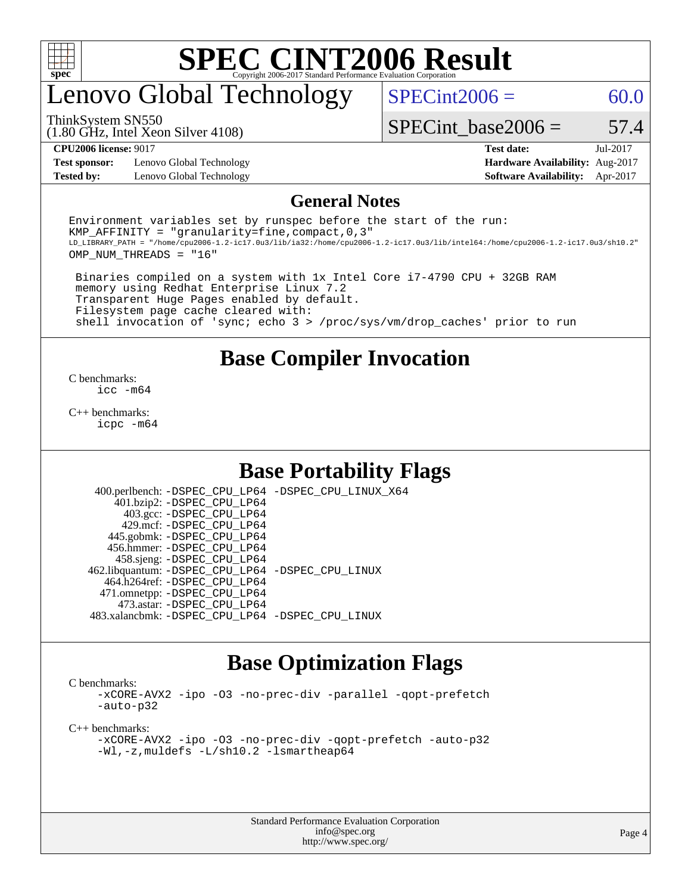

## enovo Global Technology

 $SPECint2006 = 60.0$  $SPECint2006 = 60.0$ 

(1.80 GHz, Intel Xeon Silver 4108) ThinkSystem SN550

SPECint base2006 =  $57.4$ 

**[Test sponsor:](http://www.spec.org/auto/cpu2006/Docs/result-fields.html#Testsponsor)** Lenovo Global Technology **[Hardware Availability:](http://www.spec.org/auto/cpu2006/Docs/result-fields.html#HardwareAvailability)** Aug-2017 **[Tested by:](http://www.spec.org/auto/cpu2006/Docs/result-fields.html#Testedby)** Lenovo Global Technology **[Software Availability:](http://www.spec.org/auto/cpu2006/Docs/result-fields.html#SoftwareAvailability)** Apr-2017

**[CPU2006 license:](http://www.spec.org/auto/cpu2006/Docs/result-fields.html#CPU2006license)** 9017 **[Test date:](http://www.spec.org/auto/cpu2006/Docs/result-fields.html#Testdate)** Jul-2017

#### **[General Notes](http://www.spec.org/auto/cpu2006/Docs/result-fields.html#GeneralNotes)**

Environment variables set by runspec before the start of the run: KMP AFFINITY = "granularity=fine, compact,  $0,3$ " LD\_LIBRARY\_PATH = "/home/cpu2006-1.2-ic17.0u3/lib/ia32:/home/cpu2006-1.2-ic17.0u3/lib/intel64:/home/cpu2006-1.2-ic17.0u3/sh10.2" OMP\_NUM\_THREADS = "16"

 Binaries compiled on a system with 1x Intel Core i7-4790 CPU + 32GB RAM memory using Redhat Enterprise Linux 7.2 Transparent Huge Pages enabled by default. Filesystem page cache cleared with: shell invocation of 'sync; echo 3 > /proc/sys/vm/drop\_caches' prior to run

#### **[Base Compiler Invocation](http://www.spec.org/auto/cpu2006/Docs/result-fields.html#BaseCompilerInvocation)**

[C benchmarks](http://www.spec.org/auto/cpu2006/Docs/result-fields.html#Cbenchmarks): [icc -m64](http://www.spec.org/cpu2006/results/res2017q4/cpu2006-20170918-50057.flags.html#user_CCbase_intel_icc_64bit_bda6cc9af1fdbb0edc3795bac97ada53)

[C++ benchmarks:](http://www.spec.org/auto/cpu2006/Docs/result-fields.html#CXXbenchmarks) [icpc -m64](http://www.spec.org/cpu2006/results/res2017q4/cpu2006-20170918-50057.flags.html#user_CXXbase_intel_icpc_64bit_fc66a5337ce925472a5c54ad6a0de310)

#### **[Base Portability Flags](http://www.spec.org/auto/cpu2006/Docs/result-fields.html#BasePortabilityFlags)**

 400.perlbench: [-DSPEC\\_CPU\\_LP64](http://www.spec.org/cpu2006/results/res2017q4/cpu2006-20170918-50057.flags.html#b400.perlbench_basePORTABILITY_DSPEC_CPU_LP64) [-DSPEC\\_CPU\\_LINUX\\_X64](http://www.spec.org/cpu2006/results/res2017q4/cpu2006-20170918-50057.flags.html#b400.perlbench_baseCPORTABILITY_DSPEC_CPU_LINUX_X64) 401.bzip2: [-DSPEC\\_CPU\\_LP64](http://www.spec.org/cpu2006/results/res2017q4/cpu2006-20170918-50057.flags.html#suite_basePORTABILITY401_bzip2_DSPEC_CPU_LP64) 403.gcc: [-DSPEC\\_CPU\\_LP64](http://www.spec.org/cpu2006/results/res2017q4/cpu2006-20170918-50057.flags.html#suite_basePORTABILITY403_gcc_DSPEC_CPU_LP64) 429.mcf: [-DSPEC\\_CPU\\_LP64](http://www.spec.org/cpu2006/results/res2017q4/cpu2006-20170918-50057.flags.html#suite_basePORTABILITY429_mcf_DSPEC_CPU_LP64) 445.gobmk: [-DSPEC\\_CPU\\_LP64](http://www.spec.org/cpu2006/results/res2017q4/cpu2006-20170918-50057.flags.html#suite_basePORTABILITY445_gobmk_DSPEC_CPU_LP64) 456.hmmer: [-DSPEC\\_CPU\\_LP64](http://www.spec.org/cpu2006/results/res2017q4/cpu2006-20170918-50057.flags.html#suite_basePORTABILITY456_hmmer_DSPEC_CPU_LP64) 458.sjeng: [-DSPEC\\_CPU\\_LP64](http://www.spec.org/cpu2006/results/res2017q4/cpu2006-20170918-50057.flags.html#suite_basePORTABILITY458_sjeng_DSPEC_CPU_LP64) 462.libquantum: [-DSPEC\\_CPU\\_LP64](http://www.spec.org/cpu2006/results/res2017q4/cpu2006-20170918-50057.flags.html#suite_basePORTABILITY462_libquantum_DSPEC_CPU_LP64) [-DSPEC\\_CPU\\_LINUX](http://www.spec.org/cpu2006/results/res2017q4/cpu2006-20170918-50057.flags.html#b462.libquantum_baseCPORTABILITY_DSPEC_CPU_LINUX) 464.h264ref: [-DSPEC\\_CPU\\_LP64](http://www.spec.org/cpu2006/results/res2017q4/cpu2006-20170918-50057.flags.html#suite_basePORTABILITY464_h264ref_DSPEC_CPU_LP64) 471.omnetpp: [-DSPEC\\_CPU\\_LP64](http://www.spec.org/cpu2006/results/res2017q4/cpu2006-20170918-50057.flags.html#suite_basePORTABILITY471_omnetpp_DSPEC_CPU_LP64) 473.astar: [-DSPEC\\_CPU\\_LP64](http://www.spec.org/cpu2006/results/res2017q4/cpu2006-20170918-50057.flags.html#suite_basePORTABILITY473_astar_DSPEC_CPU_LP64) 483.xalancbmk: [-DSPEC\\_CPU\\_LP64](http://www.spec.org/cpu2006/results/res2017q4/cpu2006-20170918-50057.flags.html#suite_basePORTABILITY483_xalancbmk_DSPEC_CPU_LP64) [-DSPEC\\_CPU\\_LINUX](http://www.spec.org/cpu2006/results/res2017q4/cpu2006-20170918-50057.flags.html#b483.xalancbmk_baseCXXPORTABILITY_DSPEC_CPU_LINUX)

#### **[Base Optimization Flags](http://www.spec.org/auto/cpu2006/Docs/result-fields.html#BaseOptimizationFlags)**

[C benchmarks](http://www.spec.org/auto/cpu2006/Docs/result-fields.html#Cbenchmarks):

[-xCORE-AVX2](http://www.spec.org/cpu2006/results/res2017q4/cpu2006-20170918-50057.flags.html#user_CCbase_f-xCORE-AVX2) [-ipo](http://www.spec.org/cpu2006/results/res2017q4/cpu2006-20170918-50057.flags.html#user_CCbase_f-ipo) [-O3](http://www.spec.org/cpu2006/results/res2017q4/cpu2006-20170918-50057.flags.html#user_CCbase_f-O3) [-no-prec-div](http://www.spec.org/cpu2006/results/res2017q4/cpu2006-20170918-50057.flags.html#user_CCbase_f-no-prec-div) [-parallel](http://www.spec.org/cpu2006/results/res2017q4/cpu2006-20170918-50057.flags.html#user_CCbase_f-parallel) [-qopt-prefetch](http://www.spec.org/cpu2006/results/res2017q4/cpu2006-20170918-50057.flags.html#user_CCbase_f-qopt-prefetch) [-auto-p32](http://www.spec.org/cpu2006/results/res2017q4/cpu2006-20170918-50057.flags.html#user_CCbase_f-auto-p32)

[C++ benchmarks:](http://www.spec.org/auto/cpu2006/Docs/result-fields.html#CXXbenchmarks)

[-xCORE-AVX2](http://www.spec.org/cpu2006/results/res2017q4/cpu2006-20170918-50057.flags.html#user_CXXbase_f-xCORE-AVX2) [-ipo](http://www.spec.org/cpu2006/results/res2017q4/cpu2006-20170918-50057.flags.html#user_CXXbase_f-ipo) [-O3](http://www.spec.org/cpu2006/results/res2017q4/cpu2006-20170918-50057.flags.html#user_CXXbase_f-O3) [-no-prec-div](http://www.spec.org/cpu2006/results/res2017q4/cpu2006-20170918-50057.flags.html#user_CXXbase_f-no-prec-div) [-qopt-prefetch](http://www.spec.org/cpu2006/results/res2017q4/cpu2006-20170918-50057.flags.html#user_CXXbase_f-qopt-prefetch) [-auto-p32](http://www.spec.org/cpu2006/results/res2017q4/cpu2006-20170918-50057.flags.html#user_CXXbase_f-auto-p32) [-Wl,-z,muldefs](http://www.spec.org/cpu2006/results/res2017q4/cpu2006-20170918-50057.flags.html#user_CXXbase_link_force_multiple1_74079c344b956b9658436fd1b6dd3a8a) [-L/sh10.2 -lsmartheap64](http://www.spec.org/cpu2006/results/res2017q4/cpu2006-20170918-50057.flags.html#user_CXXbase_SmartHeap64_63911d860fc08c15fa1d5bf319b9d8d5)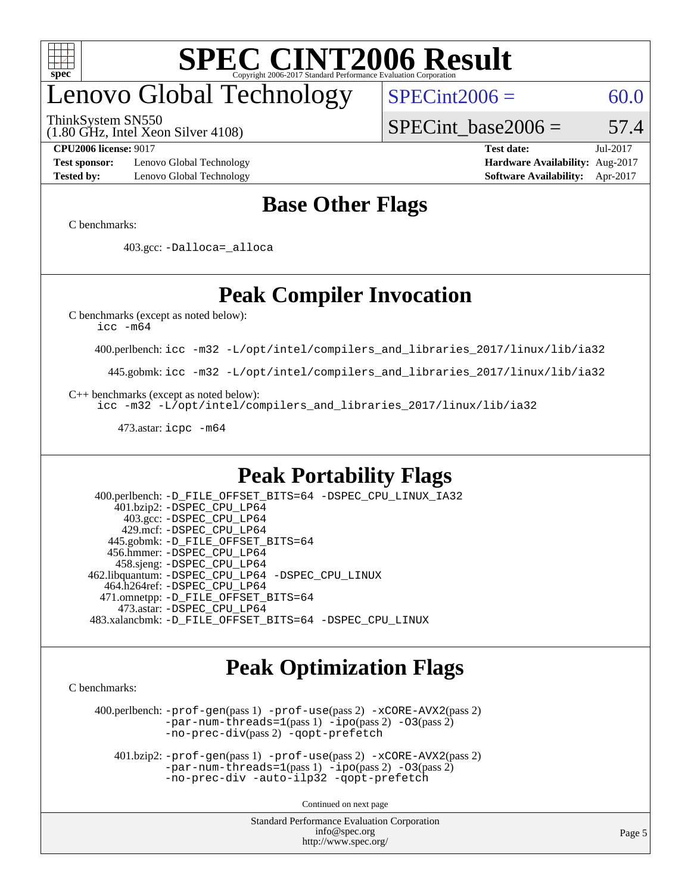

## enovo Global Technology

ThinkSystem SN550

(1.80 GHz, Intel Xeon Silver 4108)

 $SPECint2006 = 60.0$  $SPECint2006 = 60.0$ 

SPECint base2006 =  $57.4$ 

**[Test sponsor:](http://www.spec.org/auto/cpu2006/Docs/result-fields.html#Testsponsor)** Lenovo Global Technology **[Hardware Availability:](http://www.spec.org/auto/cpu2006/Docs/result-fields.html#HardwareAvailability)** Aug-2017 **[Tested by:](http://www.spec.org/auto/cpu2006/Docs/result-fields.html#Testedby)** Lenovo Global Technology **[Software Availability:](http://www.spec.org/auto/cpu2006/Docs/result-fields.html#SoftwareAvailability)** Apr-2017

**[CPU2006 license:](http://www.spec.org/auto/cpu2006/Docs/result-fields.html#CPU2006license)** 9017 **[Test date:](http://www.spec.org/auto/cpu2006/Docs/result-fields.html#Testdate)** Jul-2017

### **[Base Other Flags](http://www.spec.org/auto/cpu2006/Docs/result-fields.html#BaseOtherFlags)**

[C benchmarks](http://www.spec.org/auto/cpu2006/Docs/result-fields.html#Cbenchmarks):

403.gcc: [-Dalloca=\\_alloca](http://www.spec.org/cpu2006/results/res2017q4/cpu2006-20170918-50057.flags.html#b403.gcc_baseEXTRA_CFLAGS_Dalloca_be3056838c12de2578596ca5467af7f3)

### **[Peak Compiler Invocation](http://www.spec.org/auto/cpu2006/Docs/result-fields.html#PeakCompilerInvocation)**

[C benchmarks \(except as noted below\)](http://www.spec.org/auto/cpu2006/Docs/result-fields.html#Cbenchmarksexceptasnotedbelow):

[icc -m64](http://www.spec.org/cpu2006/results/res2017q4/cpu2006-20170918-50057.flags.html#user_CCpeak_intel_icc_64bit_bda6cc9af1fdbb0edc3795bac97ada53)

400.perlbench: [icc -m32 -L/opt/intel/compilers\\_and\\_libraries\\_2017/linux/lib/ia32](http://www.spec.org/cpu2006/results/res2017q4/cpu2006-20170918-50057.flags.html#user_peakCCLD400_perlbench_intel_icc_c29f3ff5a7ed067b11e4ec10a03f03ae)

445.gobmk: [icc -m32 -L/opt/intel/compilers\\_and\\_libraries\\_2017/linux/lib/ia32](http://www.spec.org/cpu2006/results/res2017q4/cpu2006-20170918-50057.flags.html#user_peakCCLD445_gobmk_intel_icc_c29f3ff5a7ed067b11e4ec10a03f03ae)

[C++ benchmarks \(except as noted below\):](http://www.spec.org/auto/cpu2006/Docs/result-fields.html#CXXbenchmarksexceptasnotedbelow)

[icc -m32 -L/opt/intel/compilers\\_and\\_libraries\\_2017/linux/lib/ia32](http://www.spec.org/cpu2006/results/res2017q4/cpu2006-20170918-50057.flags.html#user_CXXpeak_intel_icc_c29f3ff5a7ed067b11e4ec10a03f03ae)

473.astar: [icpc -m64](http://www.spec.org/cpu2006/results/res2017q4/cpu2006-20170918-50057.flags.html#user_peakCXXLD473_astar_intel_icpc_64bit_fc66a5337ce925472a5c54ad6a0de310)

#### **[Peak Portability Flags](http://www.spec.org/auto/cpu2006/Docs/result-fields.html#PeakPortabilityFlags)**

 400.perlbench: [-D\\_FILE\\_OFFSET\\_BITS=64](http://www.spec.org/cpu2006/results/res2017q4/cpu2006-20170918-50057.flags.html#user_peakPORTABILITY400_perlbench_file_offset_bits_64_438cf9856305ebd76870a2c6dc2689ab) [-DSPEC\\_CPU\\_LINUX\\_IA32](http://www.spec.org/cpu2006/results/res2017q4/cpu2006-20170918-50057.flags.html#b400.perlbench_peakCPORTABILITY_DSPEC_CPU_LINUX_IA32) 401.bzip2: [-DSPEC\\_CPU\\_LP64](http://www.spec.org/cpu2006/results/res2017q4/cpu2006-20170918-50057.flags.html#suite_peakPORTABILITY401_bzip2_DSPEC_CPU_LP64) 403.gcc: [-DSPEC\\_CPU\\_LP64](http://www.spec.org/cpu2006/results/res2017q4/cpu2006-20170918-50057.flags.html#suite_peakPORTABILITY403_gcc_DSPEC_CPU_LP64) 429.mcf: [-DSPEC\\_CPU\\_LP64](http://www.spec.org/cpu2006/results/res2017q4/cpu2006-20170918-50057.flags.html#suite_peakPORTABILITY429_mcf_DSPEC_CPU_LP64) 445.gobmk: [-D\\_FILE\\_OFFSET\\_BITS=64](http://www.spec.org/cpu2006/results/res2017q4/cpu2006-20170918-50057.flags.html#user_peakPORTABILITY445_gobmk_file_offset_bits_64_438cf9856305ebd76870a2c6dc2689ab) 456.hmmer: [-DSPEC\\_CPU\\_LP64](http://www.spec.org/cpu2006/results/res2017q4/cpu2006-20170918-50057.flags.html#suite_peakPORTABILITY456_hmmer_DSPEC_CPU_LP64) 458.sjeng: [-DSPEC\\_CPU\\_LP64](http://www.spec.org/cpu2006/results/res2017q4/cpu2006-20170918-50057.flags.html#suite_peakPORTABILITY458_sjeng_DSPEC_CPU_LP64) 462.libquantum: [-DSPEC\\_CPU\\_LP64](http://www.spec.org/cpu2006/results/res2017q4/cpu2006-20170918-50057.flags.html#suite_peakPORTABILITY462_libquantum_DSPEC_CPU_LP64) [-DSPEC\\_CPU\\_LINUX](http://www.spec.org/cpu2006/results/res2017q4/cpu2006-20170918-50057.flags.html#b462.libquantum_peakCPORTABILITY_DSPEC_CPU_LINUX) 464.h264ref: [-DSPEC\\_CPU\\_LP64](http://www.spec.org/cpu2006/results/res2017q4/cpu2006-20170918-50057.flags.html#suite_peakPORTABILITY464_h264ref_DSPEC_CPU_LP64) 471.omnetpp: [-D\\_FILE\\_OFFSET\\_BITS=64](http://www.spec.org/cpu2006/results/res2017q4/cpu2006-20170918-50057.flags.html#user_peakPORTABILITY471_omnetpp_file_offset_bits_64_438cf9856305ebd76870a2c6dc2689ab) 473.astar: [-DSPEC\\_CPU\\_LP64](http://www.spec.org/cpu2006/results/res2017q4/cpu2006-20170918-50057.flags.html#suite_peakPORTABILITY473_astar_DSPEC_CPU_LP64) 483.xalancbmk: [-D\\_FILE\\_OFFSET\\_BITS=64](http://www.spec.org/cpu2006/results/res2017q4/cpu2006-20170918-50057.flags.html#user_peakPORTABILITY483_xalancbmk_file_offset_bits_64_438cf9856305ebd76870a2c6dc2689ab) [-DSPEC\\_CPU\\_LINUX](http://www.spec.org/cpu2006/results/res2017q4/cpu2006-20170918-50057.flags.html#b483.xalancbmk_peakCXXPORTABILITY_DSPEC_CPU_LINUX)

#### **[Peak Optimization Flags](http://www.spec.org/auto/cpu2006/Docs/result-fields.html#PeakOptimizationFlags)**

[C benchmarks](http://www.spec.org/auto/cpu2006/Docs/result-fields.html#Cbenchmarks):

 400.perlbench: [-prof-gen](http://www.spec.org/cpu2006/results/res2017q4/cpu2006-20170918-50057.flags.html#user_peakPASS1_CFLAGSPASS1_LDCFLAGS400_perlbench_prof_gen_e43856698f6ca7b7e442dfd80e94a8fc)(pass 1) [-prof-use](http://www.spec.org/cpu2006/results/res2017q4/cpu2006-20170918-50057.flags.html#user_peakPASS2_CFLAGSPASS2_LDCFLAGS400_perlbench_prof_use_bccf7792157ff70d64e32fe3e1250b55)(pass 2) [-xCORE-AVX2](http://www.spec.org/cpu2006/results/res2017q4/cpu2006-20170918-50057.flags.html#user_peakPASS2_CFLAGSPASS2_LDCFLAGS400_perlbench_f-xCORE-AVX2)(pass 2) [-par-num-threads=1](http://www.spec.org/cpu2006/results/res2017q4/cpu2006-20170918-50057.flags.html#user_peakPASS1_CFLAGSPASS1_LDCFLAGS400_perlbench_par_num_threads_786a6ff141b4e9e90432e998842df6c2)(pass 1) [-ipo](http://www.spec.org/cpu2006/results/res2017q4/cpu2006-20170918-50057.flags.html#user_peakPASS2_CFLAGSPASS2_LDCFLAGS400_perlbench_f-ipo)(pass 2) [-O3](http://www.spec.org/cpu2006/results/res2017q4/cpu2006-20170918-50057.flags.html#user_peakPASS2_CFLAGSPASS2_LDCFLAGS400_perlbench_f-O3)(pass 2) [-no-prec-div](http://www.spec.org/cpu2006/results/res2017q4/cpu2006-20170918-50057.flags.html#user_peakPASS2_CFLAGSPASS2_LDCFLAGS400_perlbench_f-no-prec-div)(pass 2) [-qopt-prefetch](http://www.spec.org/cpu2006/results/res2017q4/cpu2006-20170918-50057.flags.html#user_peakCOPTIMIZE400_perlbench_f-qopt-prefetch)

 401.bzip2: [-prof-gen](http://www.spec.org/cpu2006/results/res2017q4/cpu2006-20170918-50057.flags.html#user_peakPASS1_CFLAGSPASS1_LDCFLAGS401_bzip2_prof_gen_e43856698f6ca7b7e442dfd80e94a8fc)(pass 1) [-prof-use](http://www.spec.org/cpu2006/results/res2017q4/cpu2006-20170918-50057.flags.html#user_peakPASS2_CFLAGSPASS2_LDCFLAGS401_bzip2_prof_use_bccf7792157ff70d64e32fe3e1250b55)(pass 2) [-xCORE-AVX2](http://www.spec.org/cpu2006/results/res2017q4/cpu2006-20170918-50057.flags.html#user_peakPASS2_CFLAGSPASS2_LDCFLAGS401_bzip2_f-xCORE-AVX2)(pass 2)  $-par-num-threads=1(pass 1) -ipo(pass 2) -O3(pass 2)$  $-par-num-threads=1(pass 1) -ipo(pass 2) -O3(pass 2)$  $-par-num-threads=1(pass 1) -ipo(pass 2) -O3(pass 2)$  $-par-num-threads=1(pass 1) -ipo(pass 2) -O3(pass 2)$  $-par-num-threads=1(pass 1) -ipo(pass 2) -O3(pass 2)$  $-par-num-threads=1(pass 1) -ipo(pass 2) -O3(pass 2)$ [-no-prec-div](http://www.spec.org/cpu2006/results/res2017q4/cpu2006-20170918-50057.flags.html#user_peakCOPTIMIZEPASS2_CFLAGSPASS2_LDCFLAGS401_bzip2_f-no-prec-div) [-auto-ilp32](http://www.spec.org/cpu2006/results/res2017q4/cpu2006-20170918-50057.flags.html#user_peakCOPTIMIZE401_bzip2_f-auto-ilp32) [-qopt-prefetch](http://www.spec.org/cpu2006/results/res2017q4/cpu2006-20170918-50057.flags.html#user_peakCOPTIMIZE401_bzip2_f-qopt-prefetch)

Continued on next page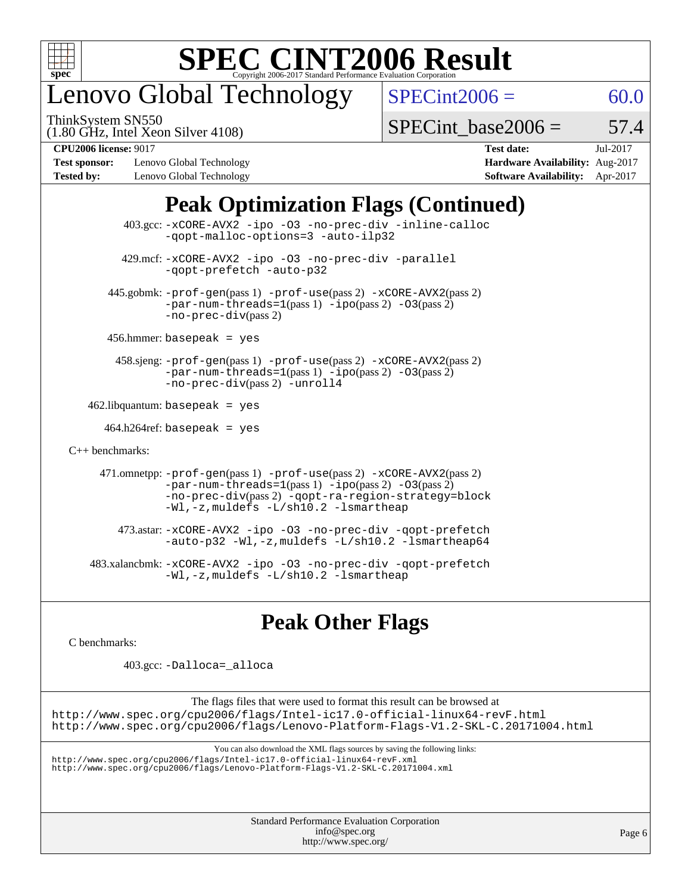

# enovo Global Technology

ThinkSystem SN550

 $SPECint2006 = 60.0$  $SPECint2006 = 60.0$ 

(1.80 GHz, Intel Xeon Silver 4108)

SPECint base2006 =  $57.4$ 

**[Test sponsor:](http://www.spec.org/auto/cpu2006/Docs/result-fields.html#Testsponsor)** Lenovo Global Technology **[Hardware Availability:](http://www.spec.org/auto/cpu2006/Docs/result-fields.html#HardwareAvailability)** Aug-2017 **[Tested by:](http://www.spec.org/auto/cpu2006/Docs/result-fields.html#Testedby)** Lenovo Global Technology **[Software Availability:](http://www.spec.org/auto/cpu2006/Docs/result-fields.html#SoftwareAvailability)** Apr-2017

**[CPU2006 license:](http://www.spec.org/auto/cpu2006/Docs/result-fields.html#CPU2006license)** 9017 **[Test date:](http://www.spec.org/auto/cpu2006/Docs/result-fields.html#Testdate)** Jul-2017

### **[Peak Optimization Flags \(Continued\)](http://www.spec.org/auto/cpu2006/Docs/result-fields.html#PeakOptimizationFlags)**

| 403.gcc: -xCORE-AVX2 -ipo -03 -no-prec-div -inline-calloc<br>-gopt-malloc-options=3 -auto-ilp32                                                                                                                                                 |  |
|-------------------------------------------------------------------------------------------------------------------------------------------------------------------------------------------------------------------------------------------------|--|
| 429.mcf: -xCORE-AVX2 -ipo -03 -no-prec-div -parallel<br>-gopt-prefetch -auto-p32                                                                                                                                                                |  |
| 445.gobmk: -prof-gen(pass 1) -prof-use(pass 2) -xCORE-AVX2(pass 2)<br>$-par-num-threads=1(pass 1) -ipo(pass 2) -03(pass 2)$<br>$-no-prec-div(pass 2)$                                                                                           |  |
| $456.$ hmmer: basepeak = yes                                                                                                                                                                                                                    |  |
| $458 \text{.}$ sjeng: $-\text{prof-gen}(pass 1)$ $-\text{prof-ges}(pass 2)$ $-\text{xCORE-AVX2}(pass 2)$<br>$-par-num-threads=1(pass 1) -ipo(pass 2) -03(pass 2)$<br>-no-prec-div(pass 2) -unroll4                                              |  |
| $462$ .libquantum: basepeak = yes                                                                                                                                                                                                               |  |
| $464.h264$ ref: basepeak = yes                                                                                                                                                                                                                  |  |
| $C_{++}$ benchmarks:                                                                                                                                                                                                                            |  |
| 471.omnetpp: -prof-gen(pass 1) -prof-use(pass 2) -xCORE-AVX2(pass 2)<br>$-par-num-threads=1(pass 1) -ipo(pass 2) -03(pass 2)$<br>-no-prec-div(pass 2) -qopt-ra-region-strategy=block<br>$-Wl$ , $-z$ , muldefs $-L/\nabla L$ , 2 $-l$ smartheap |  |
| 473.astar: -xCORE-AVX2 -ipo -03 -no-prec-div -qopt-prefetch<br>$-$ auto-p32 -Wl,-z, muldefs -L/sh10.2 -lsmartheap64                                                                                                                             |  |
| 483.xalancbmk: -xCORE-AVX2 -ipo -03 -no-prec-div -qopt-prefetch<br>$-Wl$ , $-z$ , muldefs $-L/\nabla L$ , 2 $-l$ smartheap                                                                                                                      |  |

### **[Peak Other Flags](http://www.spec.org/auto/cpu2006/Docs/result-fields.html#PeakOtherFlags)**

[C benchmarks](http://www.spec.org/auto/cpu2006/Docs/result-fields.html#Cbenchmarks):

403.gcc: [-Dalloca=\\_alloca](http://www.spec.org/cpu2006/results/res2017q4/cpu2006-20170918-50057.flags.html#b403.gcc_peakEXTRA_CFLAGS_Dalloca_be3056838c12de2578596ca5467af7f3)

The flags files that were used to format this result can be browsed at <http://www.spec.org/cpu2006/flags/Intel-ic17.0-official-linux64-revF.html> <http://www.spec.org/cpu2006/flags/Lenovo-Platform-Flags-V1.2-SKL-C.20171004.html>

You can also download the XML flags sources by saving the following links:

<http://www.spec.org/cpu2006/flags/Intel-ic17.0-official-linux64-revF.xml> <http://www.spec.org/cpu2006/flags/Lenovo-Platform-Flags-V1.2-SKL-C.20171004.xml>